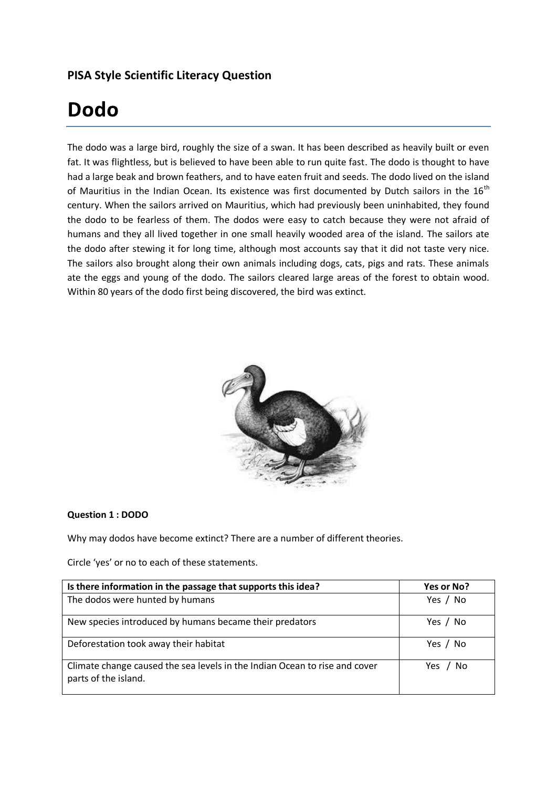# **PISA Style Scientific Literacy Question**

# **Dodo**

The dodo was a large bird, roughly the size of a swan. It has been described as heavily built or even fat. It was flightless, but is believed to have been able to run quite fast. The dodo is thought to have had a large beak and brown feathers, and to have eaten fruit and seeds. The dodo lived on the island of Mauritius in the Indian Ocean. Its existence was first documented by Dutch sailors in the  $16<sup>th</sup>$ century. When the sailors arrived on Mauritius, which had previously been uninhabited, they found the dodo to be fearless of them. The dodos were easy to catch because they were not afraid of humans and they all lived together in one small heavily wooded area of the island. The sailors ate the dodo after stewing it for long time, although most accounts say that it did not taste very nice. The sailors also brought along their own animals including dogs, cats, pigs and rats. These animals ate the eggs and young of the dodo. The sailors cleared large areas of the forest to obtain wood. Within 80 years of the dodo first being discovered, the bird was extinct.



# **Question 1 : DODO**

Why may dodos have become extinct? There are a number of different theories.

Circle 'yes' or no to each of these statements.

| Is there information in the passage that supports this idea?                                       | Yes or No? |
|----------------------------------------------------------------------------------------------------|------------|
| The dodos were hunted by humans                                                                    | Yes / No   |
| New species introduced by humans became their predators                                            | Yes / No   |
| Deforestation took away their habitat                                                              | Yes / No   |
| Climate change caused the sea levels in the Indian Ocean to rise and cover<br>parts of the island. | Yes / No   |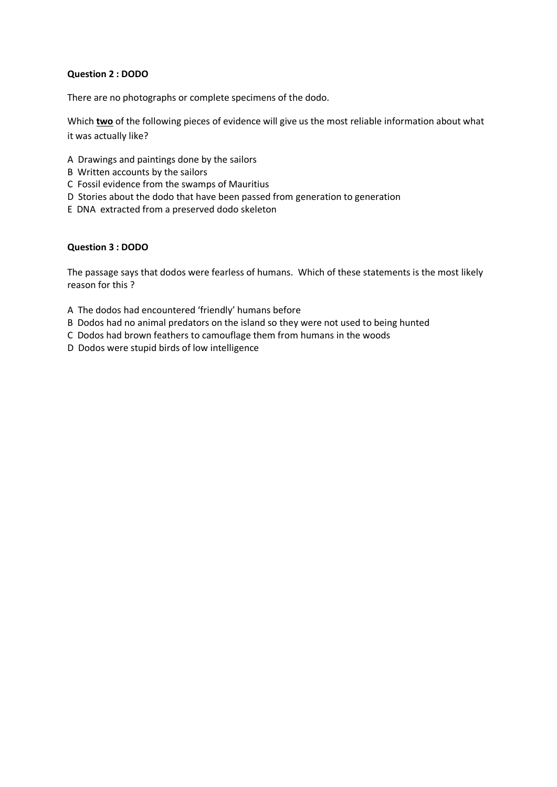# **Question 2 : DODO**

There are no photographs or complete specimens of the dodo.

Which **two** of the following pieces of evidence will give us the most reliable information about what it was actually like?

- A Drawings and paintings done by the sailors
- B Written accounts by the sailors
- C Fossil evidence from the swamps of Mauritius
- D Stories about the dodo that have been passed from generation to generation
- E DNA extracted from a preserved dodo skeleton

#### **Question 3 : DODO**

The passage says that dodos were fearless of humans. Which of these statements is the most likely reason for this ?

- A The dodos had encountered 'friendly' humans before
- B Dodos had no animal predators on the island so they were not used to being hunted
- C Dodos had brown feathers to camouflage them from humans in the woods
- D Dodos were stupid birds of low intelligence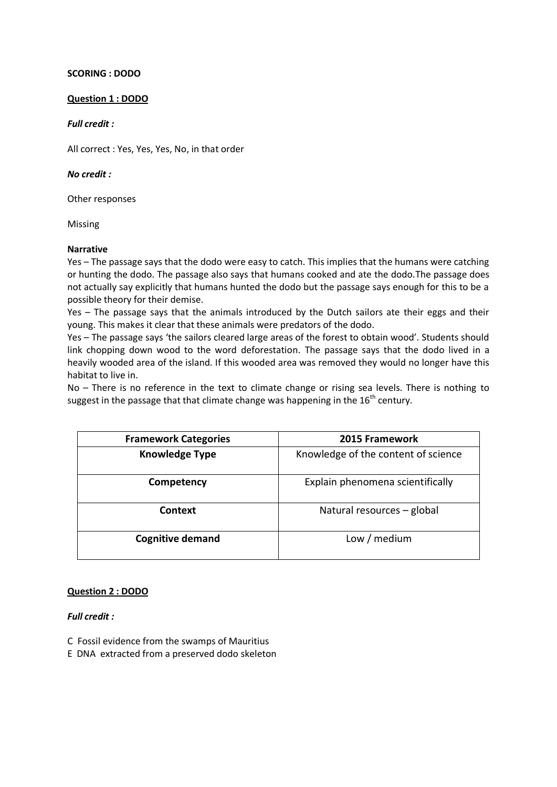# **SCORING : DODO**

#### **Question 1 : DODO**

#### *Full credit :*

All correct : Yes, Yes, Yes, No, in that order

# *No credit :*

Other responses

Missing

#### **Narrative**

Yes – The passage says that the dodo were easy to catch. This implies that the humans were catching or hunting the dodo. The passage also says that humans cooked and ate the dodo.The passage does not actually say explicitly that humans hunted the dodo but the passage says enough for this to be a possible theory for their demise.

Yes – The passage says that the animals introduced by the Dutch sailors ate their eggs and their young. This makes it clear that these animals were predators of the dodo.

Yes – The passage says 'the sailors cleared large areas of the forest to obtain wood'. Students should link chopping down wood to the word deforestation. The passage says that the dodo lived in a heavily wooded area of the island. If this wooded area was removed they would no longer have this habitat to live in.

No – There is no reference in the text to climate change or rising sea levels. There is nothing to suggest in the passage that that climate change was happening in the  $16<sup>th</sup>$  century.

| <b>Framework Categories</b> | 2015 Framework                      |
|-----------------------------|-------------------------------------|
| <b>Knowledge Type</b>       | Knowledge of the content of science |
| Competency                  | Explain phenomena scientifically    |
| <b>Context</b>              | Natural resources - global          |
| <b>Cognitive demand</b>     | Low / medium                        |

# **Question 2 : DODO**

*Full credit :*

- C Fossil evidence from the swamps of Mauritius
- E DNA extracted from a preserved dodo skeleton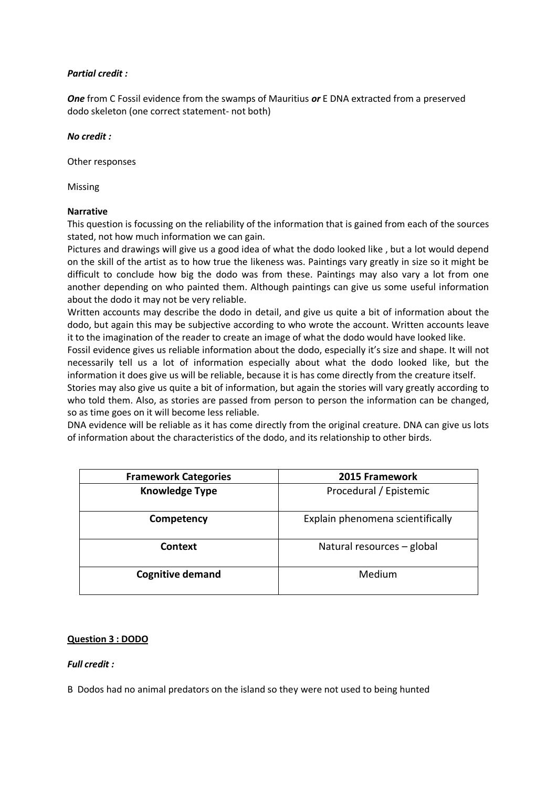# *Partial credit :*

*One* from C Fossil evidence from the swamps of Mauritius *or* E DNA extracted from a preserved dodo skeleton (one correct statement- not both)

#### *No credit :*

Other responses

Missing

#### **Narrative**

This question is focussing on the reliability of the information that is gained from each of the sources stated, not how much information we can gain.

Pictures and drawings will give us a good idea of what the dodo looked like , but a lot would depend on the skill of the artist as to how true the likeness was. Paintings vary greatly in size so it might be difficult to conclude how big the dodo was from these. Paintings may also vary a lot from one another depending on who painted them. Although paintings can give us some useful information about the dodo it may not be very reliable.

Written accounts may describe the dodo in detail, and give us quite a bit of information about the dodo, but again this may be subjective according to who wrote the account. Written accounts leave it to the imagination of the reader to create an image of what the dodo would have looked like.

Fossil evidence gives us reliable information about the dodo, especially it's size and shape. It will not necessarily tell us a lot of information especially about what the dodo looked like, but the information it does give us will be reliable, because it is has come directly from the creature itself.

Stories may also give us quite a bit of information, but again the stories will vary greatly according to who told them. Also, as stories are passed from person to person the information can be changed, so as time goes on it will become less reliable.

DNA evidence will be reliable as it has come directly from the original creature. DNA can give us lots of information about the characteristics of the dodo, and its relationship to other birds.

| <b>Framework Categories</b> | 2015 Framework                   |
|-----------------------------|----------------------------------|
| <b>Knowledge Type</b>       | Procedural / Epistemic           |
| Competency                  | Explain phenomena scientifically |
| Context                     | Natural resources - global       |
| <b>Cognitive demand</b>     | Medium                           |

# **Question 3 : DODO**

# *Full credit :*

B Dodos had no animal predators on the island so they were not used to being hunted